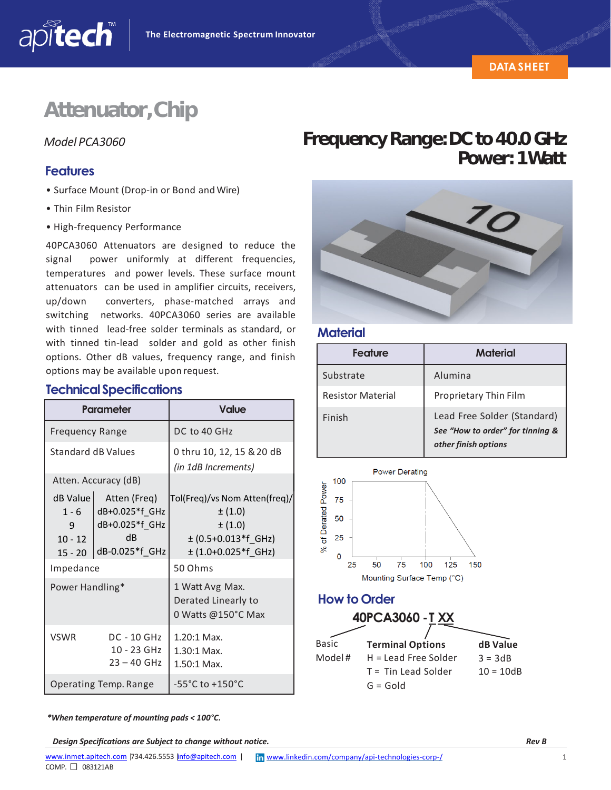# **Attenuator,Chip**

#### **Features**

apitech

- Surface Mount (Drop‐in or Bond and Wire)
- Thin Film Resistor
- High‐frequency Performance

40PCA3060 Attenuators are designed to reduce the signal power uniformly at different frequencies, temperatures and power levels. These surface mount attenuators can be used in amplifier circuits, receivers, up/down converters, phase‐matched arrays and switching networks. 40PCA3060 series are available with tinned lead-free solder terminals as standard, or with tinned tin-lead solder and gold as other finish options. Other dB values, frequency range, and finish options may be available upon request.

#### **TechnicalSpecifications**

| Parameter                                          |                                                                          | <b>Value</b>                                                                                              |
|----------------------------------------------------|--------------------------------------------------------------------------|-----------------------------------------------------------------------------------------------------------|
| <b>Frequency Range</b>                             |                                                                          | DC to 40 GHz                                                                                              |
| Standard dB Values                                 |                                                                          | 0 thru 10, 12, 15 & 20 dB<br>(in 1dB Increments)                                                          |
| Atten. Accuracy (dB)                               |                                                                          |                                                                                                           |
| dB Value<br>$1 - 6$<br>9<br>$10 - 12$<br>$15 - 20$ | Atten (Freq)<br>dB+0.025*f GHz<br>dB+0.025*f GHz<br>dB<br>dB-0.025*f_GHz | Tol(Freq)/vs Nom Atten(freq)/<br>$\pm(1.0)$<br>±(1.0)<br>$\pm$ (0.5+0.013*f_GHz)<br>$±$ (1.0+0.025*f GHz) |
| Impedance                                          |                                                                          | 50 Ohms                                                                                                   |
| Power Handling*                                    |                                                                          | 1 Watt Avg Max.<br>Derated Linearly to<br>0 Watts @150°C Max                                              |
| <b>VSWR</b>                                        | <b>DC - 10 GHz</b><br>10 - 23 GHz<br>$23 - 40$ GHz                       | 1.20:1 Max.<br>1.30:1 Max.<br>1.50:1 Max.                                                                 |
| Operating Temp. Range                              |                                                                          | -55 $^{\circ}$ C to +150 $^{\circ}$ C                                                                     |

## *Model PCA3060* **FrequencyRange:DCto40.0GHz Power: 1Watt**



#### **Material**

| <b>Feature</b>           | Material                                                                                |
|--------------------------|-----------------------------------------------------------------------------------------|
| Substrate                | Alumina                                                                                 |
| <b>Resistor Material</b> | Proprietary Thin Film                                                                   |
| Finish                   | Lead Free Solder (Standard)<br>See "How to order" for tinning &<br>other finish options |



 $G = Gold$ 

*\*When temperature of mounting pads < 100°C.*

*Design Specifications are Subject to change without notice. Rev B*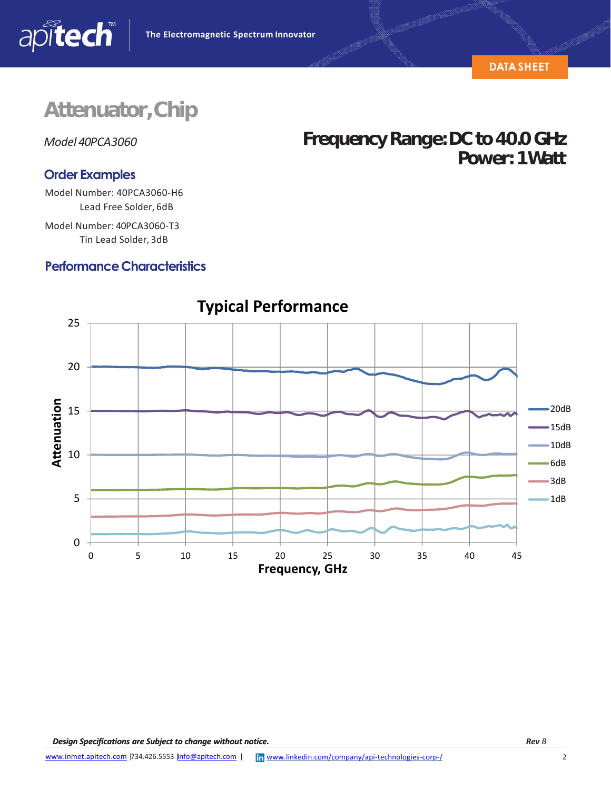

**Power: 1Watt**

# **Attenuator,Chip**

*Model 40PCA3060* **FrequencyRange:DCto40.0GHz**

apitech

#### **Order Examples**

Model Number: 40PCA3060‐H6 Lead Free Solder, 6dB

Model Number: 40PCA3060‐T3 Tin Lead Solder, 3dB

### **Performance Characteristics**



### **Typical Performance**

*Design Specifications are Subject to change without notice.*